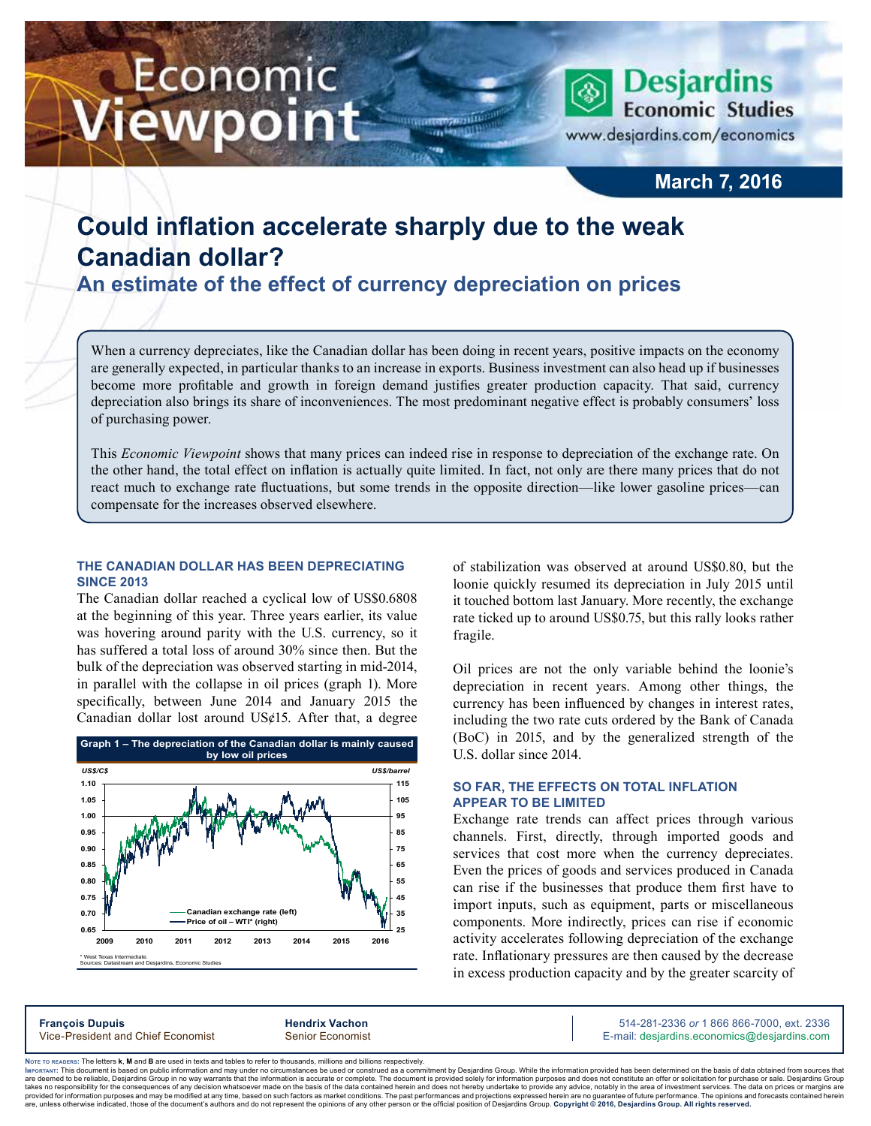# Economic iewpoint



### **March 7, 2016**

## **Could inflation accelerate sharply due to the weak Canadian dollar?**

**An estimate of the effect of currency depreciation on prices**

When a currency depreciates, like the Canadian dollar has been doing in recent years, positive impacts on the economy are generally expected, in particular thanks to an increase in exports. Business investment can also head up if businesses become more profitable and growth in foreign demand justifies greater production capacity. That said, currency depreciation also brings its share of inconveniences. The most predominant negative effect is probably consumers' loss of purchasing power.

m

This *Economic Viewpoint* shows that many prices can indeed rise in response to depreciation of the exchange rate. On the other hand, the total effect on inflation is actually quite limited. In fact, not only are there many prices that do not react much to exchange rate fluctuations, but some trends in the opposite direction—like lower gasoline prices—can compensate for the increases observed elsewhere.

#### **The Canadian dollar has been depreciating since 2013**

The Canadian dollar reached a cyclical low of US\$0.6808 at the beginning of this year. Three years earlier, its value was hovering around parity with the U.S. currency, so it has suffered a total loss of around 30% since then. But the bulk of the depreciation was observed starting in mid-2014, in parallel with the collapse in oil prices (graph 1). More specifically, between June 2014 and January 2015 the Canadian dollar lost around US¢15. After that, a degree



of stabilization was observed at around US\$0.80, but the loonie quickly resumed its depreciation in July 2015 until it touched bottom last January. More recently, the exchange rate ticked up to around US\$0.75, but this rally looks rather fragile.

Oil prices are not the only variable behind the loonie's depreciation in recent years. Among other things, the currency has been influenced by changes in interest rates, including the two rate cuts ordered by the Bank of Canada (BoC) in 2015, and by the generalized strength of the U.S. dollar since 2014.

#### **So far, the effects on total inflation appear to be limited**

Exchange rate trends can affect prices through various channels. First, directly, through imported goods and services that cost more when the currency depreciates. Even the prices of goods and services produced in Canada can rise if the businesses that produce them first have to import inputs, such as equipment, parts or miscellaneous components. More indirectly, prices can rise if economic activity accelerates following depreciation of the exchange rate. Inflationary pressures are then caused by the decrease in excess production capacity and by the greater scarcity of

**François Dupuis Hendrix Vachon** 514-281-2336 *or* 1 866 866-7000, ext. 2336 Vice-President and Chief Economist Senior Economist Senior Economist E-mail: desjardins.economics@desjardins.com

Noте то келоекs: The letters **k, M** and **B** are used in texts and tables to refer to thousands, millions and billions respectively.<br>Імроктлит: This document is based on public information and may under no circumstances be are deemed to be reliable. Desiardins Group in no way warrants that the information is accurate or complete. The document is provided solely for information purposes and does not constitute an offer or solicitation for pur takes no responsibility for the consequences of any decision whatsoever made on the basis of the data contained herein and does not hereby undertake to provide any advice, notably in the area of investment services. The da .<br>are, unless otherwise indicated, those of the document's authors and do not represent the opinions of any other person or the official position of Desjardins Group. Copyright © 2016, Desjardins Group. All rights reserve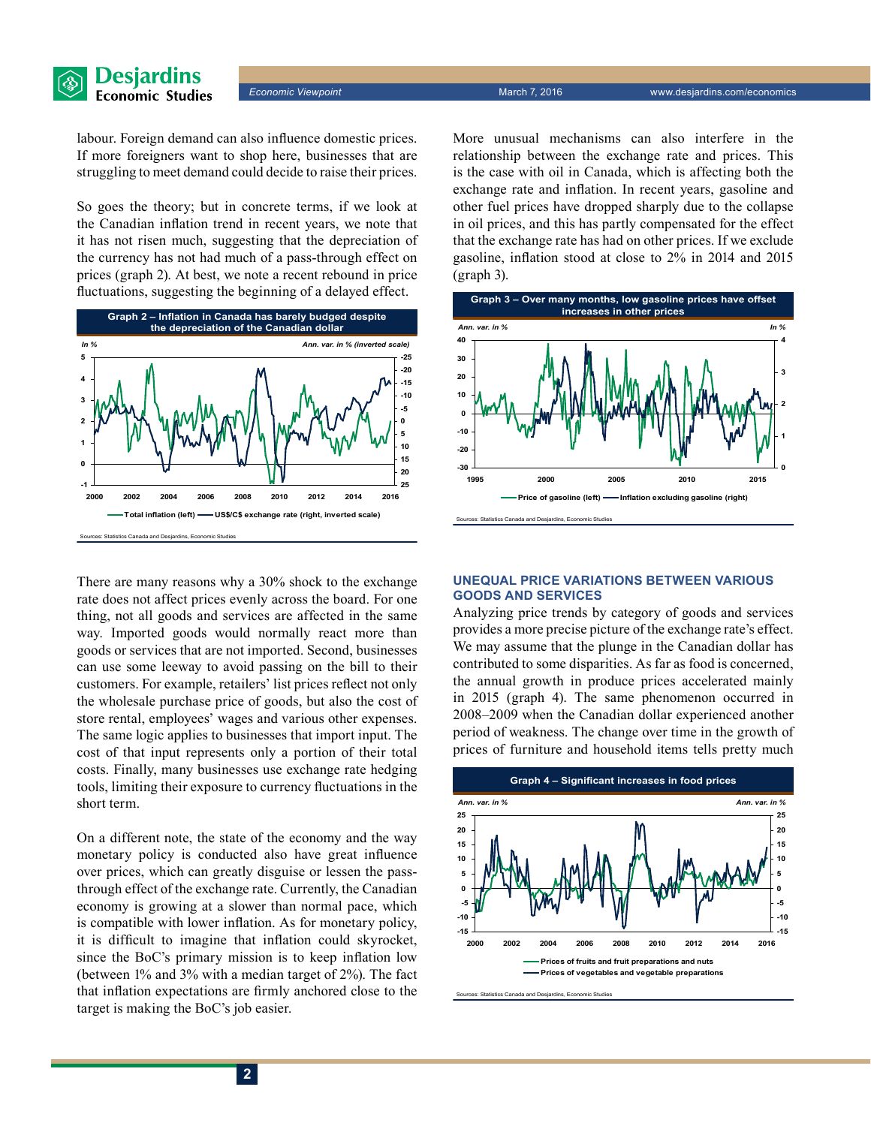*Economic Viewpoint* March 7, 2016 www.desjardins.com/economics

labour. Foreign demand can also influence domestic prices. If more foreigners want to shop here, businesses that are struggling to meet demand could decide to raise their prices.

So goes the theory; but in concrete terms, if we look at the Canadian inflation trend in recent years, we note that it has not risen much, suggesting that the depreciation of the currency has not had much of a pass-through effect on prices (graph 2). At best, we note a recent rebound in price fluctuations, suggesting the beginning of a delayed effect.



There are many reasons why a 30% shock to the exchange rate does not affect prices evenly across the board. For one thing, not all goods and services are affected in the same way. Imported goods would normally react more than goods or services that are not imported. Second, businesses can use some leeway to avoid passing on the bill to their customers. For example, retailers' list prices reflect not only the wholesale purchase price of goods, but also the cost of store rental, employees' wages and various other expenses. The same logic applies to businesses that import input. The cost of that input represents only a portion of their total costs. Finally, many businesses use exchange rate hedging tools, limiting their exposure to currency fluctuations in the short term.

On a different note, the state of the economy and the way monetary policy is conducted also have great influence over prices, which can greatly disguise or lessen the passthrough effect of the exchange rate. Currently, the Canadian economy is growing at a slower than normal pace, which is compatible with lower inflation. As for monetary policy, it is difficult to imagine that inflation could skyrocket, since the BoC's primary mission is to keep inflation low (between 1% and 3% with a median target of 2%). The fact that inflation expectations are firmly anchored close to the target is making the BoC's job easier.

More unusual mechanisms can also interfere in the relationship between the exchange rate and prices. This is the case with oil in Canada, which is affecting both the exchange rate and inflation. In recent years, gasoline and other fuel prices have dropped sharply due to the collapse in oil prices, and this has partly compensated for the effect that the exchange rate has had on other prices. If we exclude gasoline, inflation stood at close to 2% in 2014 and 2015 (graph 3).



#### **Unequal price variations between various goods and services**

Analyzing price trends by category of goods and services provides a more precise picture of the exchange rate's effect. We may assume that the plunge in the Canadian dollar has contributed to some disparities. As far as food is concerned, the annual growth in produce prices accelerated mainly in 2015 (graph 4). The same phenomenon occurred in 2008–2009 when the Canadian dollar experienced another period of weakness. The change over time in the growth of prices of furniture and household items tells pretty much

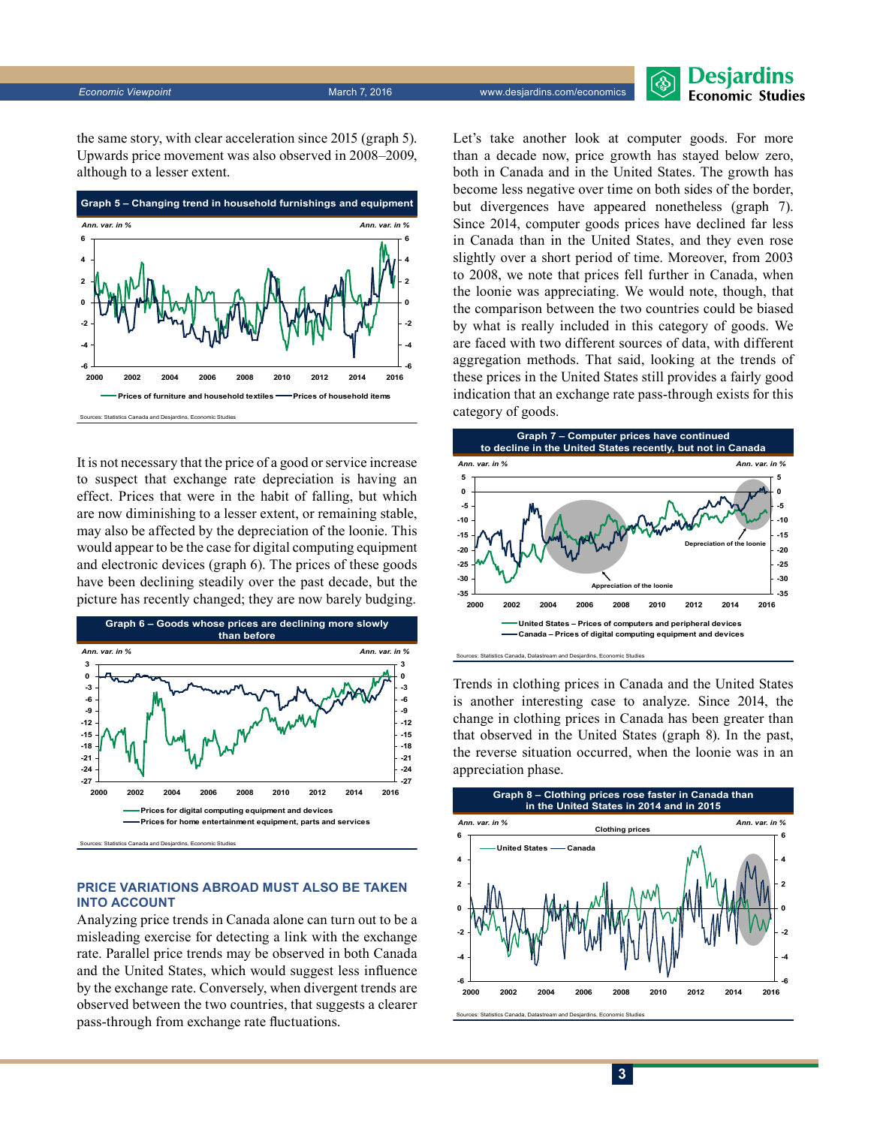

the same story, with clear acceleration since 2015 (graph 5). Upwards price movement was also observed in 2008–2009, although to a lesser extent.



It is not necessary that the price of a good or service increase to suspect that exchange rate depreciation is having an effect. Prices that were in the habit of falling, but which are now diminishing to a lesser extent, or remaining stable, may also be affected by the depreciation of the loonie. This would appear to be the case for digital computing equipment and electronic devices (graph 6). The prices of these goods have been declining steadily over the past decade, but the picture has recently changed; they are now barely budging.



#### **Price variations abroad must also be taken into account**

Analyzing price trends in Canada alone can turn out to be a misleading exercise for detecting a link with the exchange rate. Parallel price trends may be observed in both Canada and the United States, which would suggest less influence by the exchange rate. Conversely, when divergent trends are observed between the two countries, that suggests a clearer pass-through from exchange rate fluctuations.

Let's take another look at computer goods. For more than a decade now, price growth has stayed below zero, both in Canada and in the United States. The growth has become less negative over time on both sides of the border, but divergences have appeared nonetheless (graph 7). Since 2014, computer goods prices have declined far less in Canada than in the United States, and they even rose slightly over a short period of time. Moreover, from 2003 to 2008, we note that prices fell further in Canada, when the loonie was appreciating. We would note, though, that the comparison between the two countries could be biased by what is really included in this category of goods. We are faced with two different sources of data, with different aggregation methods. That said, looking at the trends of these prices in the United States still provides a fairly good indication that an exchange rate pass-through exists for this category of goods.



Trends in clothing prices in Canada and the United States is another interesting case to analyze. Since 2014, the change in clothing prices in Canada has been greater than that observed in the United States (graph 8). In the past, the reverse situation occurred, when the loonie was in an appreciation phase.

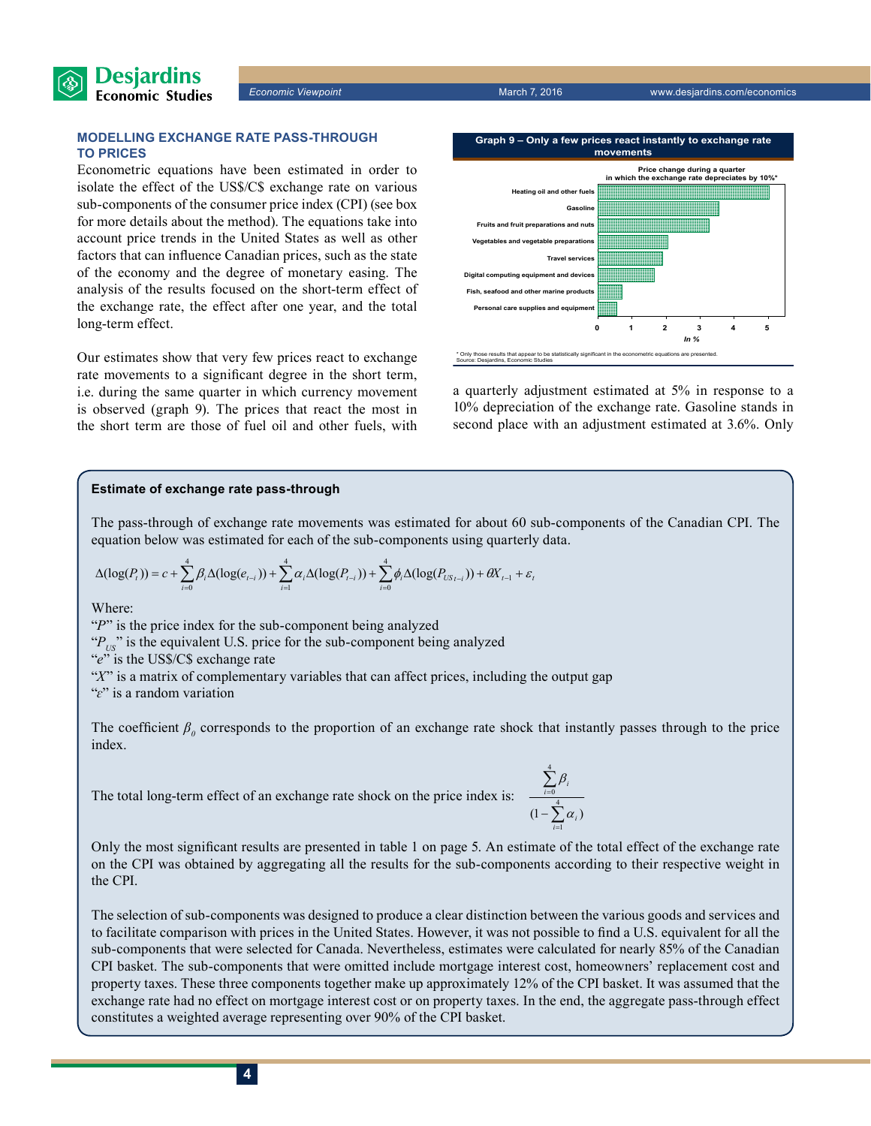

*Economic Viewpoint* March 7, 2016 www.desjardins.com/economics

#### **Modelling exchange rate pass-through to prices**

Econometric equations have been estimated in order to isolate the effect of the US\$/C\$ exchange rate on various sub-components of the consumer price index (CPI) (see box for more details about the method). The equations take into account price trends in the United States as well as other factors that can influence Canadian prices, such as the state of the economy and the degree of monetary easing. The analysis of the results focused on the short-term effect of the exchange rate, the effect after one year, and the total long-term effect.

Our estimates show that very few prices react to exchange rate movements to a significant degree in the short term, i.e. during the same quarter in which currency movement is observed (graph 9). The prices that react the most in the short term are those of fuel oil and other fuels, with



a quarterly adjustment estimated at 5% in response to a 10% depreciation of the exchange rate. Gasoline stands in second place with an adjustment estimated at 3.6%. Only

#### **Estimate of exchange rate pass-through**

The pass-through of exchange rate movements was estimated for about 60 sub-components of the Canadian CPI. The equation below was estimated for each of the sub-components using quarterly data.

$$
\Delta(\log(P_{i})) = c + \sum_{i=0}^{4} \beta_{i} \Delta(\log(e_{i-i})) + \sum_{i=1}^{4} \alpha_{i} \Delta(\log(P_{i-i})) + \sum_{i=0}^{4} \phi_{i} \Delta(\log(P_{US_{i-i}})) + \theta X_{i-1} + \varepsilon_{i}
$$

Where:

"*P*" is the price index for the sub-component being analyzed " $P_{\text{US}}$ " is the equivalent U.S. price for the sub-component being analyzed "*e*" is the US\$/C\$ exchange rate "*X*" is a matrix of complementary variables that can affect prices, including the output gap "*ɛ*" is a random variation

The coefficient  $\beta$ <sup>0</sup> corresponds to the proportion of an exchange rate shock that instantly passes through to the price index.

The total long-term effect of an exchange rate shock on the price index is:

$$
\frac{\sum_{i=0}^{4} \beta_i}{(1 - \sum_{i=1}^{4} \alpha_i)}
$$

Only the most significant results are presented in table 1 on page 5. An estimate of the total effect of the exchange rate on the CPI was obtained by aggregating all the results for the sub-components according to their respective weight in the CPI.

The selection of sub-components was designed to produce a clear distinction between the various goods and services and to facilitate comparison with prices in the United States. However, it was not possible to find a U.S. equivalent for all the sub-components that were selected for Canada. Nevertheless, estimates were calculated for nearly 85% of the Canadian CPI basket. The sub-components that were omitted include mortgage interest cost, homeowners' replacement cost and property taxes. These three components together make up approximately 12% of the CPI basket. It was assumed that the exchange rate had no effect on mortgage interest cost or on property taxes. In the end, the aggregate pass-through effect constitutes a weighted average representing over 90% of the CPI basket.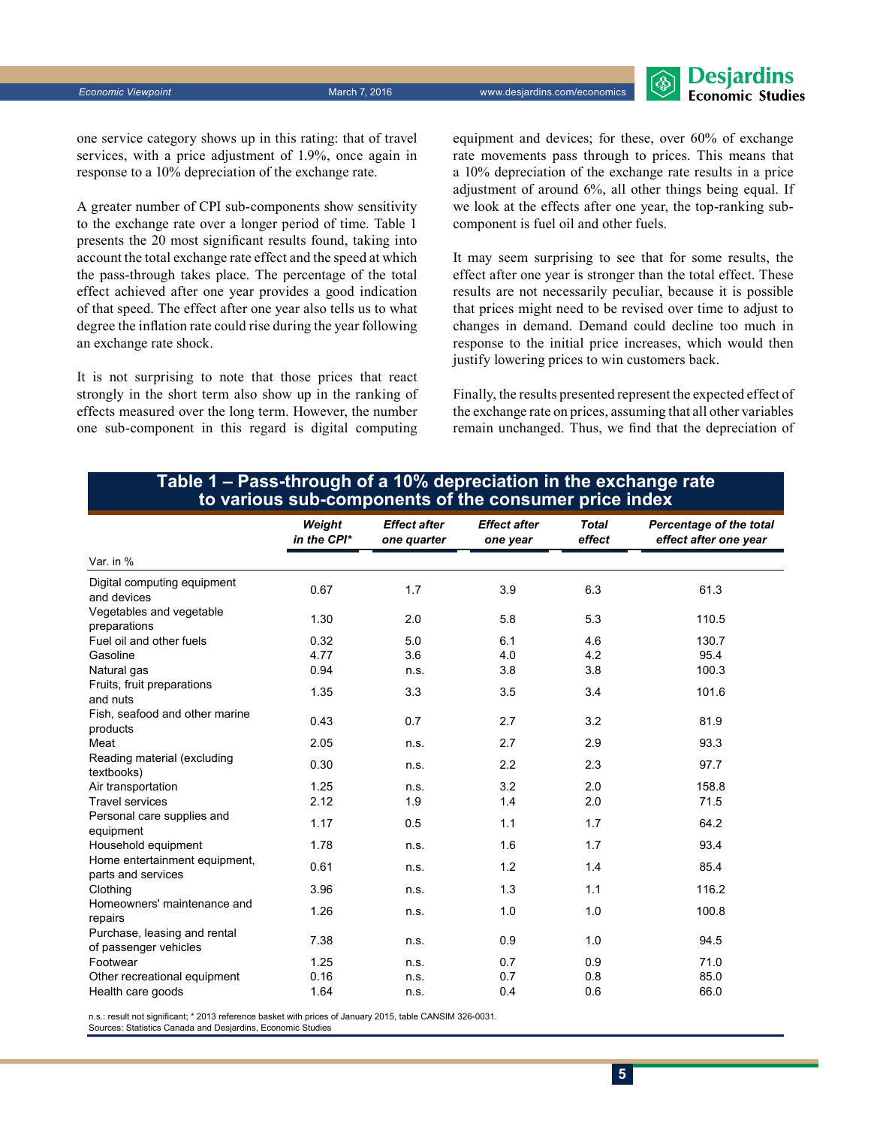

one service category shows up in this rating: that of travel services, with a price adjustment of 1.9%, once again in response to a 10% depreciation of the exchange rate.

A greater number of CPI sub-components show sensitivity to the exchange rate over a longer period of time. Table 1 presents the 20 most significant results found, taking into account the total exchange rate effect and the speed at which the pass-through takes place. The percentage of the total effect achieved after one year provides a good indication of that speed. The effect after one year also tells us to what degree the inflation rate could rise during the year following an exchange rate shock.

It is not surprising to note that those prices that react strongly in the short term also show up in the ranking of effects measured over the long term. However, the number one sub-component in this regard is digital computing equipment and devices; for these, over 60% of exchange rate movements pass through to prices. This means that a 10% depreciation of the exchange rate results in a price adjustment of around 6%, all other things being equal. If we look at the effects after one year, the top-ranking subcomponent is fuel oil and other fuels.

It may seem surprising to see that for some results, the effect after one year is stronger than the total effect. These results are not necessarily peculiar, because it is possible that prices might need to be revised over time to adjust to changes in demand. Demand could decline too much in response to the initial price increases, which would then justify lowering prices to win customers back.

Finally, the results presented represent the expected effect of the exchange rate on prices, assuming that all other variables remain unchanged. Thus, we find that the depreciation of

#### **Table 1 – Pass-through of a 10% depreciation in the exchange rate to various sub-components of the consumer price index**

|                                                       | Weight<br>in the CPI* | <b>Effect after</b><br>one quarter | <b>Effect after</b><br>one year | <b>Total</b><br>effect | Percentage of the total<br>effect after one year |
|-------------------------------------------------------|-----------------------|------------------------------------|---------------------------------|------------------------|--------------------------------------------------|
| Var. in %                                             |                       |                                    |                                 |                        |                                                  |
| Digital computing equipment<br>and devices            | 0.67                  | 1.7                                | 3.9                             | 6.3                    | 61.3                                             |
| Vegetables and vegetable<br>preparations              | 1.30                  | 2.0                                | 5.8                             | 5.3                    | 110.5                                            |
| Fuel oil and other fuels                              | 0.32                  | 5.0                                | 6.1                             | 4.6                    | 130.7                                            |
| Gasoline                                              | 4.77                  | 3.6                                | 4.0                             | 4.2                    | 95.4                                             |
| Natural gas                                           | 0.94                  | n.s.                               | 3.8                             | 3.8                    | 100.3                                            |
| Fruits, fruit preparations<br>and nuts                | 1.35                  | 3.3                                | 3.5                             | 3.4                    | 101.6                                            |
| Fish, seafood and other marine<br>products            | 0.43                  | 0.7                                | 2.7                             | 3.2                    | 81.9                                             |
| Meat                                                  | 2.05                  | n.s.                               | 2.7                             | 2.9                    | 93.3                                             |
| Reading material (excluding<br>textbooks)             | 0.30                  | n.s.                               | 2.2                             | 2.3                    | 97.7                                             |
| Air transportation                                    | 1.25                  | n.s.                               | 3.2                             | 2.0                    | 158.8                                            |
| <b>Travel services</b>                                | 2.12                  | 1.9                                | 1.4                             | 2.0                    | 71.5                                             |
| Personal care supplies and<br>equipment               | 1.17                  | 0.5                                | 1.1                             | 1.7                    | 64.2                                             |
| Household equipment                                   | 1.78                  | n.s.                               | 1.6                             | 1.7                    | 93.4                                             |
| Home entertainment equipment,<br>parts and services   | 0.61                  | n.s.                               | 1.2                             | 1.4                    | 85.4                                             |
| Clothing                                              | 3.96                  | n.s.                               | 1.3                             | 1.1                    | 116.2                                            |
| Homeowners' maintenance and<br>repairs                | 1.26                  | n.s.                               | 1.0                             | 1.0                    | 100.8                                            |
| Purchase, leasing and rental<br>of passenger vehicles | 7.38                  | n.s.                               | 0.9                             | 1.0                    | 94.5                                             |
| Footwear                                              | 1.25                  | n.s.                               | 0.7                             | 0.9                    | 71.0                                             |
| Other recreational equipment                          | 0.16                  | n.s.                               | 0.7                             | 0.8                    | 85.0                                             |
| Health care goods                                     | 1.64                  | n.s.                               | 0.4                             | 0.6                    | 66.0                                             |

n.s.: result not significant; \* 2013 reference basket with prices of January 2015, table CANSIM 326-0031.

Sources: Statistics Canada and Desjardins, Economic Studies